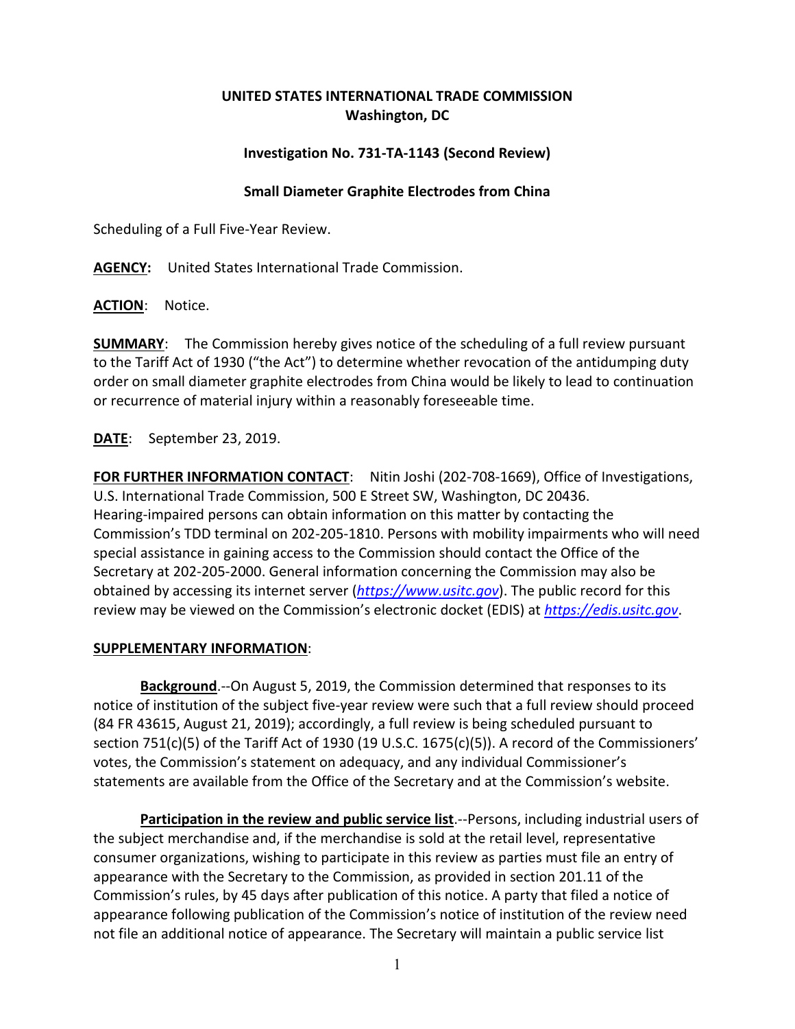## **UNITED STATES INTERNATIONAL TRADE COMMISSION Washington, DC**

## **Investigation No. 731-TA-1143 (Second Review)**

## **Small Diameter Graphite Electrodes from China**

Scheduling of a Full Five-Year Review.

**AGENCY:** United States International Trade Commission.

**ACTION**: Notice.

**SUMMARY**: The Commission hereby gives notice of the scheduling of a full review pursuant to the Tariff Act of 1930 ("the Act") to determine whether revocation of the antidumping duty order on small diameter graphite electrodes from China would be likely to lead to continuation or recurrence of material injury within a reasonably foreseeable time.

**DATE**: September 23, 2019.

**FOR FURTHER INFORMATION CONTACT**: Nitin Joshi (202-708-1669), Office of Investigations, U.S. International Trade Commission, 500 E Street SW, Washington, DC 20436. Hearing-impaired persons can obtain information on this matter by contacting the Commission's TDD terminal on 202-205-1810. Persons with mobility impairments who will need special assistance in gaining access to the Commission should contact the Office of the Secretary at 202-205-2000. General information concerning the Commission may also be obtained by accessing its internet server (*[https://www.usitc.gov](https://www.usitc.gov/)*). The public record for this review may be viewed on the Commission's electronic docket (EDIS) at *[https://edis.usitc.gov](https://edis.usitc.gov/)*.

## **SUPPLEMENTARY INFORMATION**:

**Background**.--On August 5, 2019, the Commission determined that responses to its notice of institution of the subject five-year review were such that a full review should proceed (84 FR 43615, August 21, 2019); accordingly, a full review is being scheduled pursuant to section 751(c)(5) of the Tariff Act of 1930 (19 U.S.C. 1675(c)(5)). A record of the Commissioners' votes, the Commission's statement on adequacy, and any individual Commissioner's statements are available from the Office of the Secretary and at the Commission's website.

**Participation in the review and public service list**.--Persons, including industrial users of the subject merchandise and, if the merchandise is sold at the retail level, representative consumer organizations, wishing to participate in this review as parties must file an entry of appearance with the Secretary to the Commission, as provided in section 201.11 of the Commission's rules, by 45 days after publication of this notice. A party that filed a notice of appearance following publication of the Commission's notice of institution of the review need not file an additional notice of appearance. The Secretary will maintain a public service list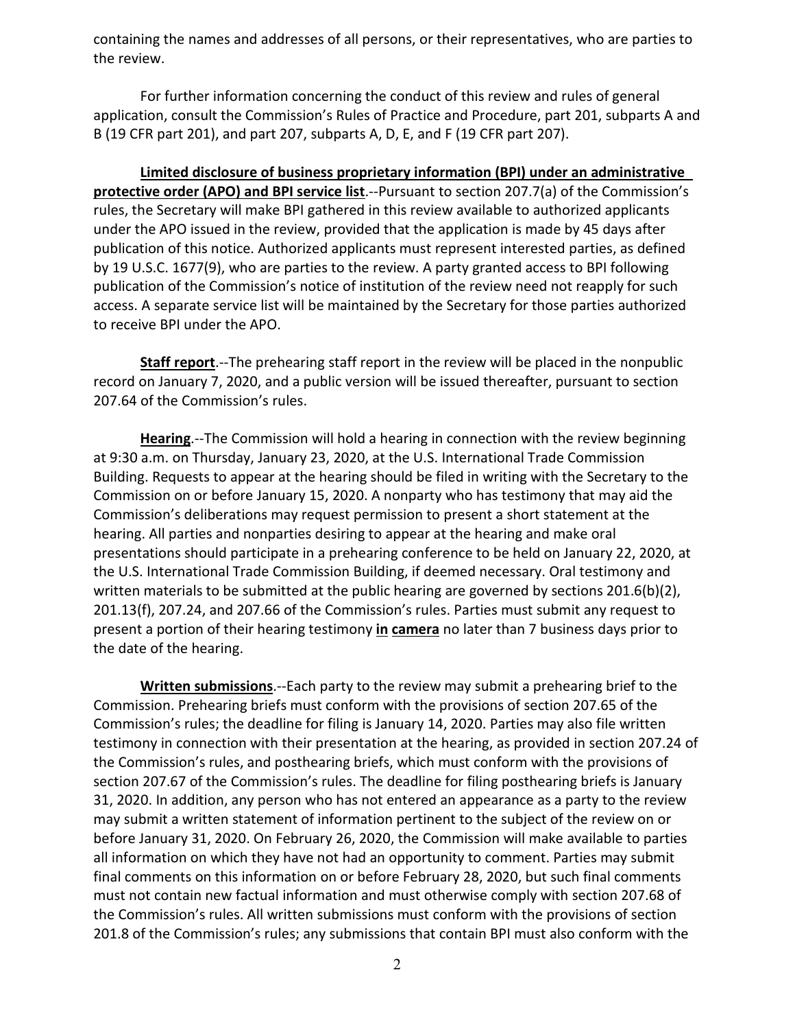containing the names and addresses of all persons, or their representatives, who are parties to the review.

For further information concerning the conduct of this review and rules of general application, consult the Commission's Rules of Practice and Procedure, part 201, subparts A and B (19 CFR part 201), and part 207, subparts A, D, E, and F (19 CFR part 207).

**Limited disclosure of business proprietary information (BPI) under an administrative protective order (APO) and BPI service list**.--Pursuant to section 207.7(a) of the Commission's rules, the Secretary will make BPI gathered in this review available to authorized applicants under the APO issued in the review, provided that the application is made by 45 days after publication of this notice. Authorized applicants must represent interested parties, as defined by 19 U.S.C. 1677(9), who are parties to the review. A party granted access to BPI following publication of the Commission's notice of institution of the review need not reapply for such access. A separate service list will be maintained by the Secretary for those parties authorized to receive BPI under the APO.

**Staff report**.--The prehearing staff report in the review will be placed in the nonpublic record on January 7, 2020, and a public version will be issued thereafter, pursuant to section 207.64 of the Commission's rules.

**Hearing**.--The Commission will hold a hearing in connection with the review beginning at 9:30 a.m. on Thursday, January 23, 2020, at the U.S. International Trade Commission Building. Requests to appear at the hearing should be filed in writing with the Secretary to the Commission on or before January 15, 2020. A nonparty who has testimony that may aid the Commission's deliberations may request permission to present a short statement at the hearing. All parties and nonparties desiring to appear at the hearing and make oral presentations should participate in a prehearing conference to be held on January 22, 2020, at the U.S. International Trade Commission Building, if deemed necessary. Oral testimony and written materials to be submitted at the public hearing are governed by sections 201.6(b)(2), 201.13(f), 207.24, and 207.66 of the Commission's rules. Parties must submit any request to present a portion of their hearing testimony **in camera** no later than 7 business days prior to the date of the hearing.

**Written submissions**.--Each party to the review may submit a prehearing brief to the Commission. Prehearing briefs must conform with the provisions of section 207.65 of the Commission's rules; the deadline for filing is January 14, 2020. Parties may also file written testimony in connection with their presentation at the hearing, as provided in section 207.24 of the Commission's rules, and posthearing briefs, which must conform with the provisions of section 207.67 of the Commission's rules. The deadline for filing posthearing briefs is January 31, 2020. In addition, any person who has not entered an appearance as a party to the review may submit a written statement of information pertinent to the subject of the review on or before January 31, 2020. On February 26, 2020, the Commission will make available to parties all information on which they have not had an opportunity to comment. Parties may submit final comments on this information on or before February 28, 2020, but such final comments must not contain new factual information and must otherwise comply with section 207.68 of the Commission's rules. All written submissions must conform with the provisions of section 201.8 of the Commission's rules; any submissions that contain BPI must also conform with the